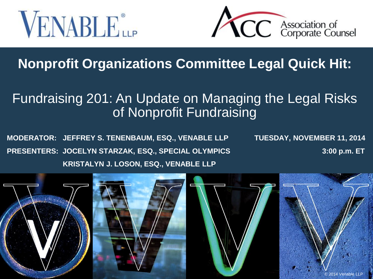



#### **Nonprofit Organizations Committee Legal Quick Hit:**

#### Fundraising 201: An Update on Managing the Legal Risks of Nonprofit Fundraising

**MODERATOR: JEFFREY S. TENENBAUM, ESQ., VENABLE LLP TUESDAY, NOVEMBER 11, 2014 PRESENTERS: JOCELYN STARZAK, ESQ., SPECIAL OLYMPICS 3:00 p.m. ET KRISTALYN J. LOSON, ESQ., VENABLE LLP**

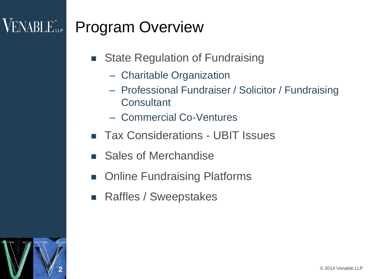#### $\rm VENABLE$ lle  $^{\circ}$ Program Overview

- **State Regulation of Fundraising** 
	- Charitable Organization
	- Professional Fundraiser / Solicitor / Fundraising **Consultant**
	- Commercial Co-Ventures
- Tax Considerations UBIT Issues
- Sales of Merchandise
- Online Fundraising Platforms
- Raffles / Sweepstakes

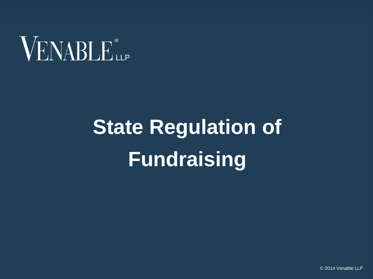

# **State Regulation of Fundraising**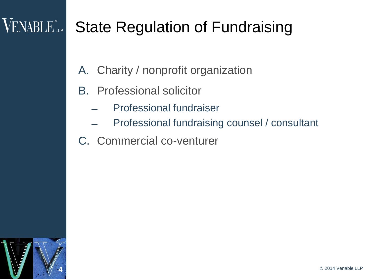#### VENABLE<sup>®</sup>LLP State Regulation of Fundraising

- A. Charity / nonprofit organization
- B. Professional solicitor
	- ̶ Professional fundraiser
	- ̶ Professional fundraising counsel / consultant
- C. Commercial co-venturer

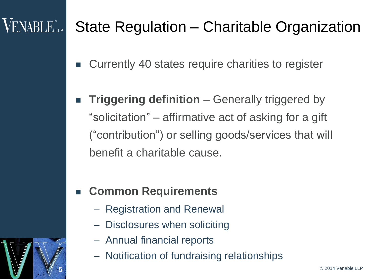## **VENABLE** LLP

5

#### State Regulation – Charitable Organization

- Currently 40 states require charities to register
- **Triggering definition**  Generally triggered by "solicitation" – affirmative act of asking for a gift ("contribution") or selling goods/services that will benefit a charitable cause.

#### **Common Requirements**

- Registration and Renewal
- Disclosures when soliciting
- Annual financial reports
- Notification of fundraising relationships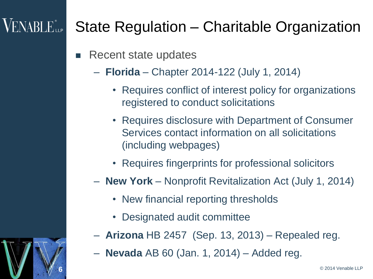## **VENABLE** LLP

6

#### State Regulation – Charitable Organization

- **Recent state updates** 
	- **Florida** Chapter 2014-122 (July 1, 2014)
		- Requires conflict of interest policy for organizations registered to conduct solicitations
		- Requires disclosure with Department of Consumer Services contact information on all solicitations (including webpages)
		- Requires fingerprints for professional solicitors
	- **New York**  Nonprofit Revitalization Act (July 1, 2014)
		- New financial reporting thresholds
		- Designated audit committee
	- **Arizona** HB 2457 (Sep. 13, 2013) Repealed reg.
	- **Nevada** AB 60 (Jan. 1, 2014) Added reg.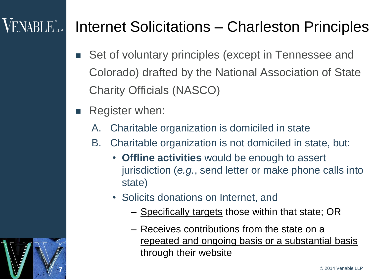## $\sf{VENABLE}^*_{\sf{LP}}$

#### Internet Solicitations – Charleston Principles

- Set of voluntary principles (except in Tennessee and Colorado) drafted by the National Association of State Charity Officials (NASCO)
- Register when:
	- A. Charitable organization is domiciled in state
	- B. Charitable organization is not domiciled in state, but:
		- **Offline activities** would be enough to assert jurisdiction (*e.g.*, send letter or make phone calls into state)
		- Solicits donations on Internet, and
			- Specifically targets those within that state; OR
			- Receives contributions from the state on a repeated and ongoing basis or a substantial basis through their website



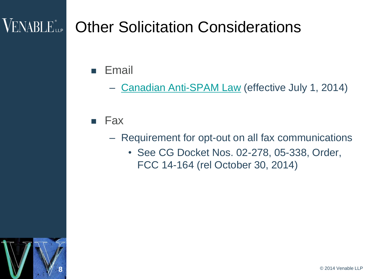## **VENABLE...** Other Solicitation Considerations

- Email
	- [Canadian Anti-SPAM Law](http://www.venable.com/SnapshotFiles/15f87007-58f9-445e-b825-2836f95100ef/Subscriber.snapshot?clid=c2d1036d-648d-4bf6-9ef1-4e6f4e391844&cid=dd6cd44a-70a2-49ba-9862-7469ea33e769&ce=JikpCrrMDqVx2R7Pat4qckS0xrmHAbD/XiHY6qh/Zeo%3D) (effective July 1, 2014)

#### $\blacksquare$  Fax

- Requirement for opt-out on all fax communications
	- See CG Docket Nos. 02-278, 05-338, Order, FCC 14-164 (rel October 30, 2014)

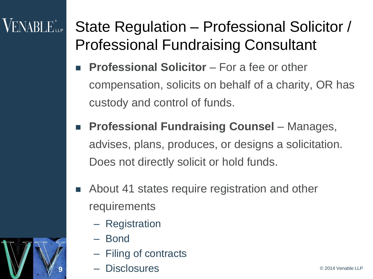## **VENABLE** LLP

State Regulation – Professional Solicitor / Professional Fundraising Consultant

- **Professional Solicitor** For a fee or other compensation, solicits on behalf of a charity, OR has custody and control of funds.
- **Professional Fundraising Counsel Manages,** advises, plans, produces, or designs a solicitation. Does not directly solicit or hold funds.
- About 41 states require registration and other requirements
	- Registration
	- Bond

9

- Filing of contracts
- **9 1 Disclosures Example 2014 Venable LLP**

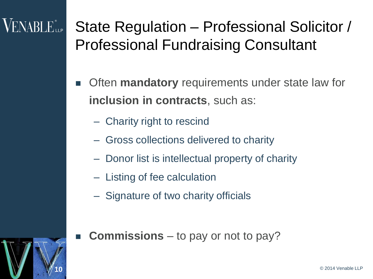## $\rm VENABLE$  ile

State Regulation – Professional Solicitor / Professional Fundraising Consultant

- **EXTER** Often **mandatory** requirements under state law for **inclusion in contracts**, such as:
	- Charity right to rescind
	- Gross collections delivered to charity
	- Donor list is intellectual property of charity
	- Listing of fee calculation
	- Signature of two charity officials
	- **Commissions** to pay or not to pay?

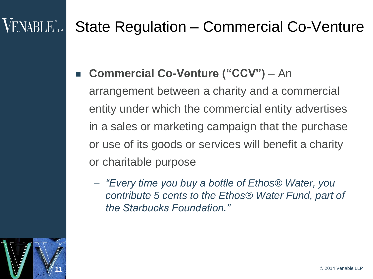## $\mathsf{VENABLE}^*$ ller

#### State Regulation – Commercial Co-Venture

**Commercial Co-Venture ("CCV") – An** 

arrangement between a charity and a commercial entity under which the commercial entity advertises in a sales or marketing campaign that the purchase or use of its goods or services will benefit a charity or charitable purpose

– *"Every time you buy a bottle of Ethos® Water, you contribute 5 cents to the Ethos® Water Fund, part of the Starbucks Foundation."*

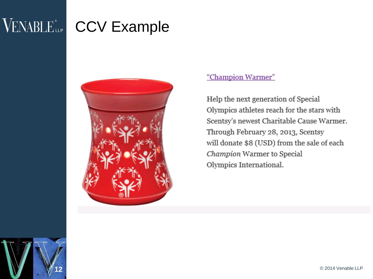## VENABLE CCV Example



#### "Champion Warmer"

Help the next generation of Special Olympics athletes reach for the stars with Scentsy's newest Charitable Cause Warmer. Through February 28, 2013, Scentsy will donate \$8 (USD) from the sale of each Champion Warmer to Special Olympics International.

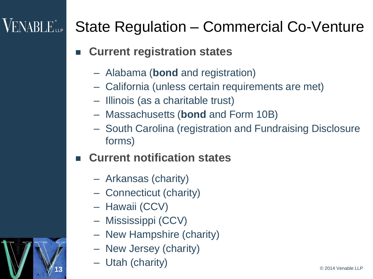## $\sf VENABLE$  illet

#### State Regulation – Commercial Co-Venture

- **Current registration states**
	- Alabama (**bond** and registration)
	- California (unless certain requirements are met)
	- Illinois (as a charitable trust)
	- Massachusetts (**bond** and Form 10B)
	- South Carolina (registration and Fundraising Disclosure forms)
- **Current notification states**
	- Arkansas (charity)
	- Connecticut (charity)
	- Hawaii (CCV)
	- Mississippi (CCV)
	- New Hampshire (charity)
	- New Jersey (charity)
	- Utah (charity)

13

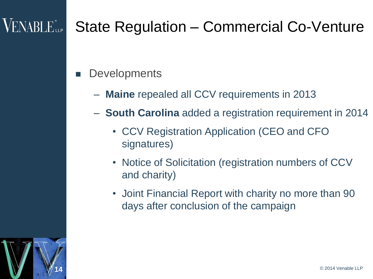#### **VENABLE** LLP

- **Developments** 
	- **Maine** repealed all CCV requirements in 2013
	- **South Carolina** added a registration requirement in 2014
		- CCV Registration Application (CEO and CFO signatures)
		- Notice of Solicitation (registration numbers of CCV and charity)
		- Joint Financial Report with charity no more than 90 days after conclusion of the campaign

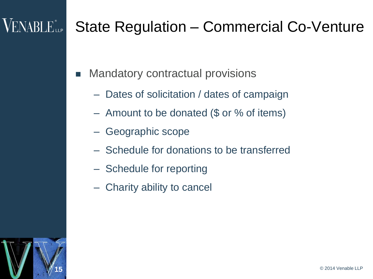## $\sf VENABLE$  ill pose of  $\sf VENE$  illequality of  $\sf VENE$

- Mandatory contractual provisions
	- Dates of solicitation / dates of campaign
	- Amount to be donated (\$ or % of items)
	- Geographic scope
	- Schedule for donations to be transferred
	- Schedule for reporting
	- Charity ability to cancel

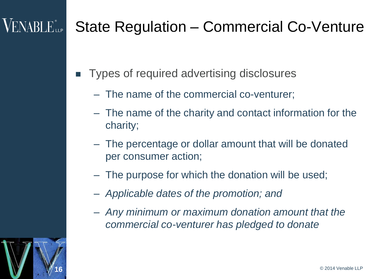## $\sf VENABLE$  ilp

16

- Types of required advertising disclosures
	- The name of the commercial co-venturer;
	- The name of the charity and contact information for the charity;
	- The percentage or dollar amount that will be donated per consumer action;
	- The purpose for which the donation will be used;
	- *Applicable dates of the promotion; and*
	- *Any minimum or maximum donation amount that the commercial co-venturer has pledged to donate*

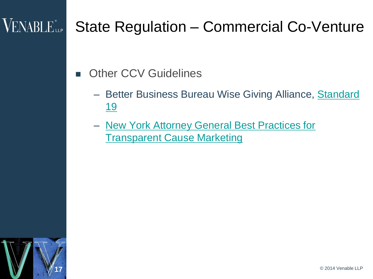#### VENABLE<sup>®</sup>

- Other CCV Guidelines
	- Better Business Bureau Wise Giving Alliance, Standard <u>[19](http://www.bbb.org/us/standards-for-charity-accountability/)</u>
	- [New York Attorney General Best Practices for](http://www.charitiesnys.com/cause_marketing.jsp)  [Transparent Cause Marketing](http://www.charitiesnys.com/cause_marketing.jsp)

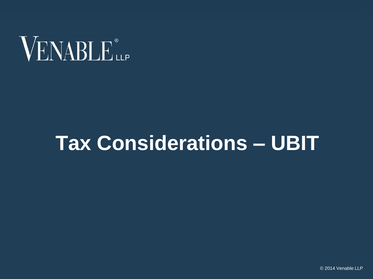

## **Tax Considerations – UBIT**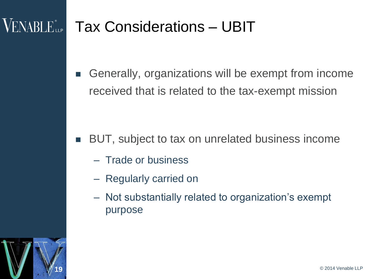#### **VENABLE<sup>\*</sup>** Tax Considerations – UBIT

■ Generally, organizations will be exempt from income received that is related to the tax-exempt mission

#### BUT, subject to tax on unrelated business income

- Trade or business
- Regularly carried on
- Not substantially related to organization's exempt purpose

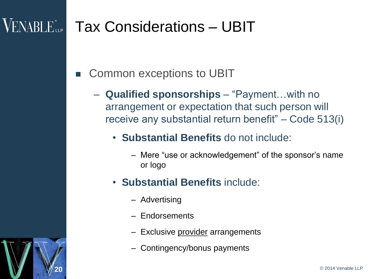20

#### VENABLE<sup>®</sup> Tax Considerations – UBIT

- Common exceptions to UBIT
	- **Qualified sponsorships** "Payment…with no arrangement or expectation that such person will receive any substantial return benefit" – Code 513(i)
		- **Substantial Benefits** do not include:
			- Mere "use or acknowledgement" of the sponsor's name or logo
		- **Substantial Benefits** include:
			- Advertising
			- Endorsements
			- Exclusive provider arrangements
			- Contingency/bonus payments

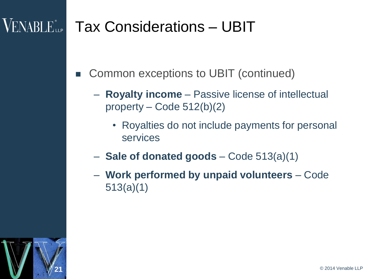#### VENABLE<sup>\*</sup> Tax Considerations – UBIT

- Common exceptions to UBIT (continued)
	- **Royalty income**  Passive license of intellectual property – Code 512(b)(2)
		- Royalties do not include payments for personal services
	- **Sale of donated goods**  Code 513(a)(1)
	- **Work performed by unpaid volunteers**  Code 513(a)(1)

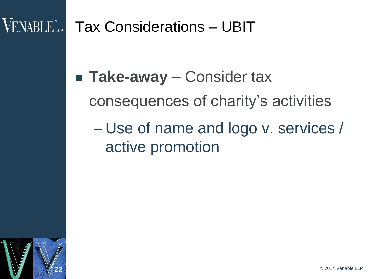#### Tax Considerations – UBIT

■ **Take-away** – Consider tax

consequences of charity's activities

– Use of name and logo v. services / active promotion

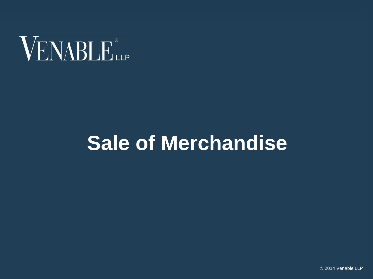

## **Sale of Merchandise**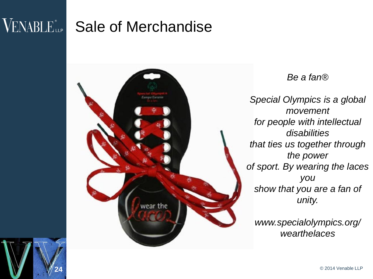## VENABLE<sup>®</sup> Sale of Merchandise

24



*Be a fan®*

*Special Olympics is a global movement for people with intellectual disabilities that ties us together through the power of sport. By wearing the laces you show that you are a fan of unity.*

*www.specialolympics.org/ wearthelaces*

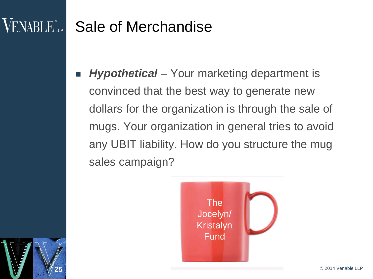#### VENABLE<sup>®</sup>LLP Sale of Merchandise

25

 *Hypothetical* – Your marketing department is convinced that the best way to generate new dollars for the organization is through the sale of mugs. Your organization in general tries to avoid any UBIT liability. How do you structure the mug sales campaign?

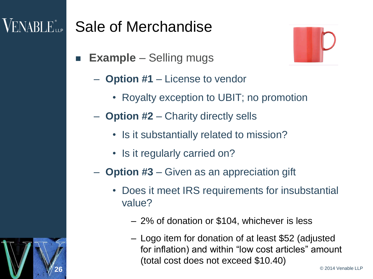#### VENABLE<sup>®</sup> Sale of Merchandise

- **Example** Selling mugs
	- **Option #1** License to vendor
		- Royalty exception to UBIT; no promotion
	- **Option #2** Charity directly sells
		- Is it substantially related to mission?
		- Is it regularly carried on?
	- **Option #3** Given as an appreciation gift
		- Does it meet IRS requirements for insubstantial value?
			- 2% of donation or \$104, whichever is less
			- Logo item for donation of at least \$52 (adjusted for inflation) and within "low cost articles" amount (total cost does not exceed \$10.40)



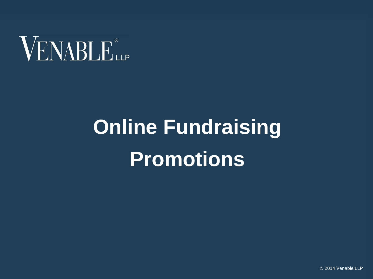

# **Online Fundraising Promotions**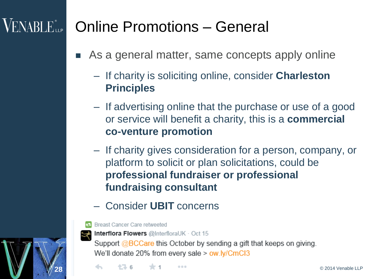#### $\rm VENABLE$  (Lemma ) Online Promotions – General

- As a general matter, same concepts apply online
	- If charity is soliciting online, consider **Charleston Principles**
	- If advertising online that the purchase or use of a good or service will benefit a charity, this is a **commercial co-venture promotion**
	- If charity gives consideration for a person, company, or platform to solicit or plan solicitations, could be **professional fundraiser or professional fundraising consultant**
	- Consider **UBIT** concerns



28

Breast Cancer Care retweeted



**Interflora Flowers @InterfloraUK · Oct 15** 

Support @BCCare this October by sending a gift that keeps on giving. We'll donate 20% from every sale > ow.ly/CmCl3

**28** © 2014 Venable LLP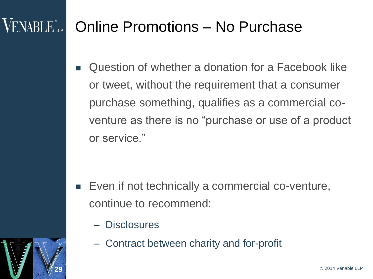#### $VENABI$   $E_{\perp P}$ Online Promotions – No Purchase

 Question of whether a donation for a Facebook like or tweet, without the requirement that a consumer purchase something, qualifies as a commercial coventure as there is no "purchase or use of a product or service."

- Even if not technically a commercial co-venture, continue to recommend:
	- Disclosures
	- Contract between charity and for-profit



29

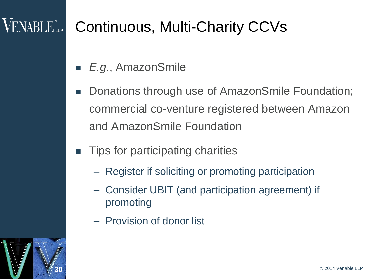## VENABLE

## Continuous, Multi-Charity CCVs

- *E.g.*, AmazonSmile
- Donations through use of AmazonSmile Foundation; commercial co-venture registered between Amazon and AmazonSmile Foundation
- Tips for participating charities
	- Register if soliciting or promoting participation
	- Consider UBIT (and participation agreement) if promoting
	- Provision of donor list

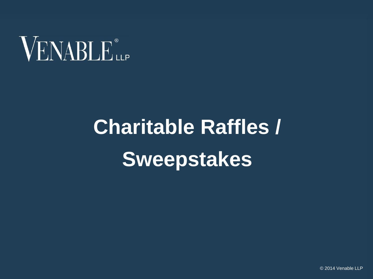

# **Charitable Raffles / Sweepstakes**

© 2014 Venable LLP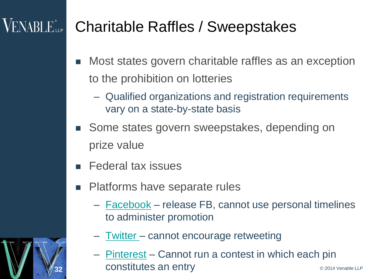## **VENABLE**<sup>®</sup>

#### Charitable Raffles / Sweepstakes

- **Nost states govern charitable raffles as an exception** to the prohibition on lotteries
	- Qualified organizations and registration requirements vary on a state-by-state basis
- Some states govern sweepstakes, depending on prize value
- Federal tax issues
- **Platforms have separate rules** 
	- [Facebook](https://fbcdn-dragon-a.akamaihd.net/hphotos-ak-xap1/t39.2365-6/851577_158705844322839_2031667568_n.pdf) release FB, cannot use personal timelines to administer promotion
	- [Twitter](https://support.twitter.com/articles/68877-guidelines-for-contests-on-twitter)  cannot encourage retweeting
- **32 CONStitutes an entry CONSTRANGERY CONSTRANGERY** – [Pinterest](https://about.pinterest.com/en/acceptable-use-policy) – Cannot run a contest in which each pin